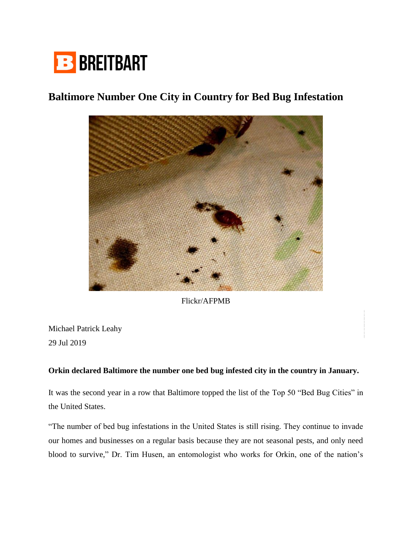

## **Baltimore Number One City in Country for Bed Bug Infestation**



Flickr/AFPMB

Michael Patrick Leahy 29 Jul 2019

## **Orkin declared Baltimore the number one bed bug infested city in the country in January.**

It was the second year in a row that Baltimore topped the list of the Top 50 "Bed Bug Cities" in the United States.

"The number of bed bug infestations in the United States is still rising. They continue to invade our homes and businesses on a regular basis because they are not seasonal pests, and only need blood to survive," Dr. Tim Husen, an entomologist who works for Orkin, one of the nation's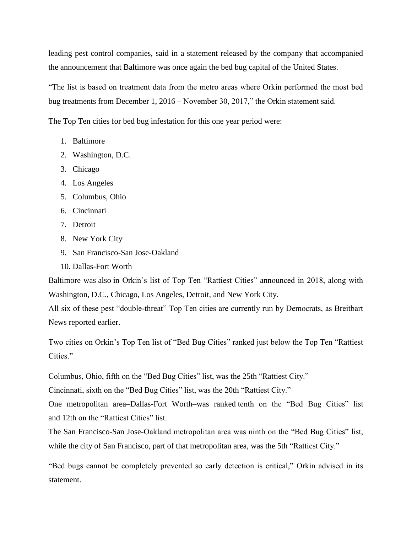leading pest control companies, said in a statement released by the company that accompanied the announcement that Baltimore was once again the bed bug capital of the United States.

"The list is based on treatment data from the metro areas where Orkin performed the most bed bug treatments from December 1, 2016 – November 30, 2017," the Orkin statement said.

The Top Ten cities for bed bug infestation for this one year period were:

- 1. Baltimore
- 2. Washington, D.C.
- 3. Chicago
- 4. Los Angeles
- 5. Columbus, Ohio
- 6. Cincinnati
- 7. Detroit
- 8. New York City
- 9. San Francisco-San Jose-Oakland
- 10. Dallas-Fort Worth

Baltimore was also in Orkin's list of Top Ten "Rattiest Cities" announced in 2018, along with Washington, D.C., Chicago, Los Angeles, Detroit, and New York City.

All six of these pest "double-threat" Top Ten cities are currently run by Democrats, as Breitbart News reported earlier.

Two cities on Orkin's Top Ten list of "Bed Bug Cities" ranked just below the Top Ten "Rattiest Cities."

Columbus, Ohio, fifth on the "Bed Bug Cities" list, was the 25th "Rattiest City."

Cincinnati, sixth on the "Bed Bug Cities" list, was the 20th "Rattiest City."

One metropolitan area–Dallas-Fort Worth–was ranked tenth on the "Bed Bug Cities" list and 12th on the "Rattiest Cities" list.

The San Francisco-San Jose-Oakland metropolitan area was ninth on the "Bed Bug Cities" list, while the city of San Francisco, part of that metropolitan area, was the 5th "Rattiest City."

"Bed bugs cannot be completely prevented so early detection is critical," Orkin advised in its statement.